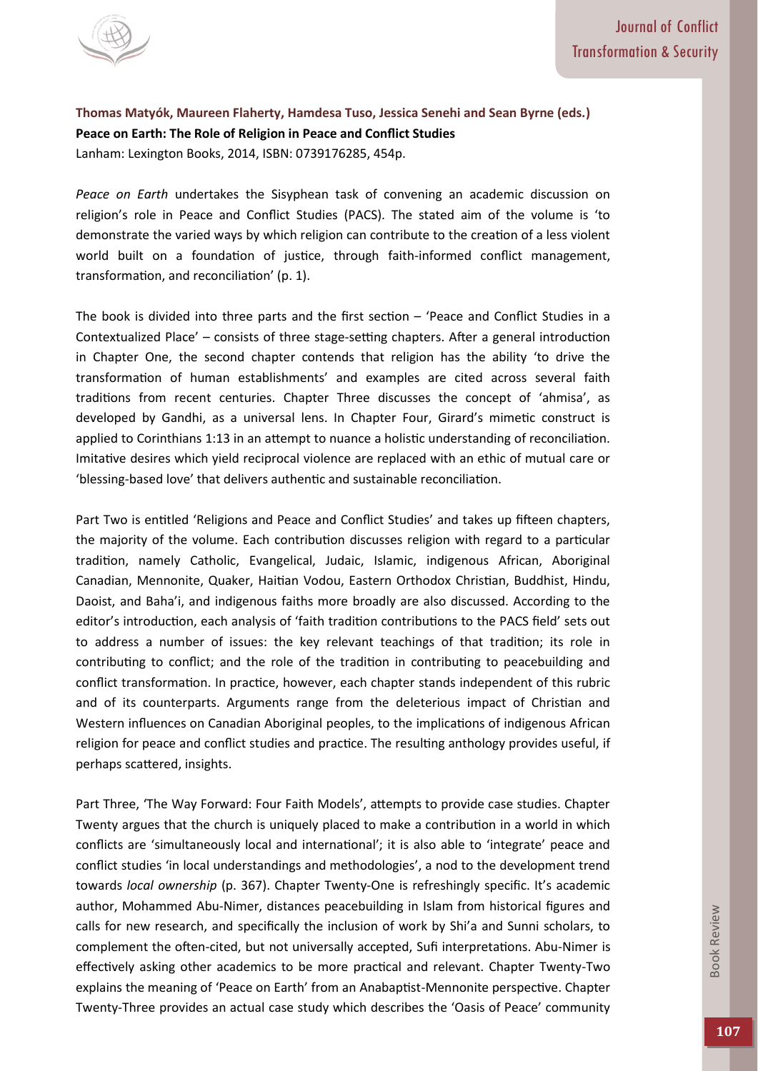

**[Thomas Matyók,](http://www.amazon.com/s/ref=dp_byline_sr_book_1?ie=UTF8&text=Thomas+Maty%C3%B3k+&search-alias=books&field-author=Thomas+Maty%C3%B3k+&sort=relevancerank) [Maureen Flaherty,](http://www.amazon.com/s/ref=dp_byline_sr_book_2?ie=UTF8&text=Maureen+Flaherty&search-alias=books&field-author=Maureen+Flaherty&sort=relevancerank) [Hamdesa Tuso,](http://www.amazon.com/s/ref=dp_byline_sr_book_3?ie=UTF8&text=Hamdesa+Tuso&search-alias=books&field-author=Hamdesa+Tuso&sort=relevancerank) [Jessica Senehi a](http://www.amazon.com/s/ref=dp_byline_sr_book_4?ie=UTF8&text=Jessica+Senehi&search-alias=books&field-author=Jessica+Senehi&sort=relevancerank)nd [Sean Byrne \(](http://www.amazon.com/s/ref=dp_byline_sr_book_5?ie=UTF8&text=Sean+Byrne&search-alias=books&field-author=Sean+Byrne&sort=relevancerank)eds***.***) Peace on Earth: The Role of Religion in Peace and Conflict Studies**  Lanham: Lexington Books, 2014, ISBN: 0739176285, 454p.

*Peace on Earth* undertakes the Sisyphean task of convening an academic discussion on religion's role in Peace and Conflict Studies (PACS). The stated aim of the volume is 'to demonstrate the varied ways by which religion can contribute to the creation of a less violent world built on a foundation of justice, through faith-informed conflict management, transformation, and reconciliation' (p. 1).

The book is divided into three parts and the first section – 'Peace and Conflict Studies in a Contextualized Place' – consists of three stage-setting chapters. After a general introduction in Chapter One, the second chapter contends that religion has the ability 'to drive the transformation of human establishments' and examples are cited across several faith traditions from recent centuries. Chapter Three discusses the concept of 'ahmisa', as developed by Gandhi, as a universal lens. In Chapter Four, Girard's mimetic construct is applied to Corinthians 1:13 in an attempt to nuance a holistic understanding of reconciliation. Imitative desires which yield reciprocal violence are replaced with an ethic of mutual care or 'blessing-based love' that delivers authentic and sustainable reconciliation.

Part Two is entitled 'Religions and Peace and Conflict Studies' and takes up fifteen chapters, the majority of the volume. Each contribution discusses religion with regard to a particular tradition, namely Catholic, Evangelical, Judaic, Islamic, indigenous African, Aboriginal Canadian, Mennonite, Quaker, Haitian Vodou, Eastern Orthodox Christian, Buddhist, Hindu, Daoist, and Baha'i, and indigenous faiths more broadly are also discussed. According to the editor's introduction, each analysis of 'faith tradition contributions to the PACS field' sets out to address a number of issues: the key relevant teachings of that tradition; its role in contributing to conflict; and the role of the tradition in contributing to peacebuilding and conflict transformation. In practice, however, each chapter stands independent of this rubric and of its counterparts. Arguments range from the deleterious impact of Christian and Western influences on Canadian Aboriginal peoples, to the implications of indigenous African religion for peace and conflict studies and practice. The resulting anthology provides useful, if perhaps scattered, insights.

Part Three, 'The Way Forward: Four Faith Models', attempts to provide case studies. Chapter Twenty argues that the church is uniquely placed to make a contribution in a world in which conflicts are 'simultaneously local and international'; it is also able to 'integrate' peace and conflict studies 'in local understandings and methodologies', a nod to the development trend towards *local ownership* (p. 367). Chapter Twenty-One is refreshingly specific. It's academic author, Mohammed Abu-Nimer, distances peacebuilding in Islam from historical figures and calls for new research, and specifically the inclusion of work by Shi'a and Sunni scholars, to complement the often-cited, but not universally accepted, Sufi interpretations. Abu-Nimer is effectively asking other academics to be more practical and relevant. Chapter Twenty-Two explains the meaning of 'Peace on Earth' from an Anabaptist-Mennonite perspective. Chapter Twenty-Three provides an actual case study which describes the 'Oasis of Peace' community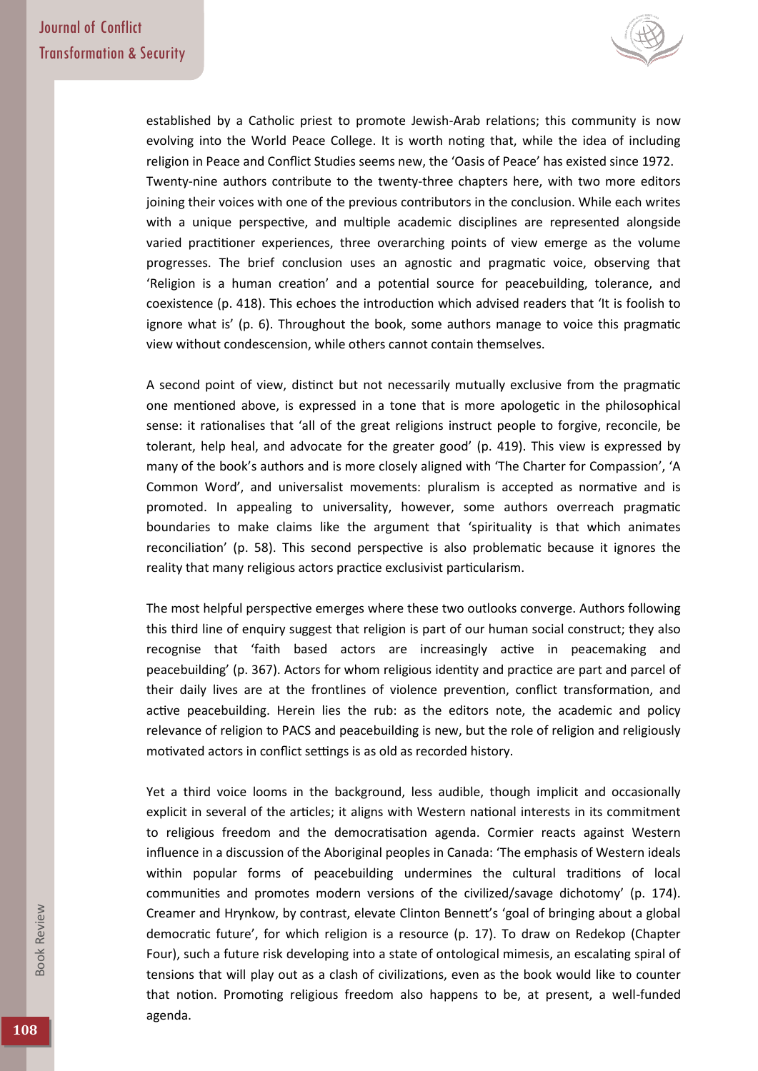

established by a Catholic priest to promote Jewish-Arab relations; this community is now evolving into the World Peace College. It is worth noting that, while the idea of including religion in Peace and Conflict Studies seems new, the 'Oasis of Peace' has existed since 1972. Twenty-nine authors contribute to the twenty-three chapters here, with two more editors joining their voices with one of the previous contributors in the conclusion. While each writes with a unique perspective, and multiple academic disciplines are represented alongside varied practitioner experiences, three overarching points of view emerge as the volume progresses. The brief conclusion uses an agnostic and pragmatic voice, observing that 'Religion is a human creation' and a potential source for peacebuilding, tolerance, and coexistence (p. 418). This echoes the introduction which advised readers that 'It is foolish to ignore what is' (p. 6). Throughout the book, some authors manage to voice this pragmatic view without condescension, while others cannot contain themselves.

A second point of view, distinct but not necessarily mutually exclusive from the pragmatic one mentioned above, is expressed in a tone that is more apologetic in the philosophical sense: it rationalises that 'all of the great religions instruct people to forgive, reconcile, be tolerant, help heal, and advocate for the greater good' (p. 419). This view is expressed by many of the book's authors and is more closely aligned with 'The Charter for Compassion', 'A Common Word', and universalist movements: pluralism is accepted as normative and is promoted. In appealing to universality, however, some authors overreach pragmatic boundaries to make claims like the argument that 'spirituality is that which animates reconciliation' (p. 58). This second perspective is also problematic because it ignores the reality that many religious actors practice exclusivist particularism.

The most helpful perspective emerges where these two outlooks converge. Authors following this third line of enquiry suggest that religion is part of our human social construct; they also recognise that 'faith based actors are increasingly active in peacemaking and peacebuilding' (p. 367). Actors for whom religious identity and practice are part and parcel of their daily lives are at the frontlines of violence prevention, conflict transformation, and active peacebuilding. Herein lies the rub: as the editors note, the academic and policy relevance of religion to PACS and peacebuilding is new, but the role of religion and religiously motivated actors in conflict settings is as old as recorded history.

Yet a third voice looms in the background, less audible, though implicit and occasionally explicit in several of the articles; it aligns with Western national interests in its commitment to religious freedom and the democratisation agenda. Cormier reacts against Western influence in a discussion of the Aboriginal peoples in Canada: 'The emphasis of Western ideals within popular forms of peacebuilding undermines the cultural traditions of local communities and promotes modern versions of the civilized/savage dichotomy' (p. 174). Creamer and Hrynkow, by contrast, elevate Clinton Bennett's 'goal of bringing about a global democratic future', for which religion is a resource (p. 17). To draw on Redekop (Chapter Four), such a future risk developing into a state of ontological mimesis, an escalating spiral of tensions that will play out as a clash of civilizations, even as the book would like to counter that notion. Promoting religious freedom also happens to be, at present, a well-funded agenda.